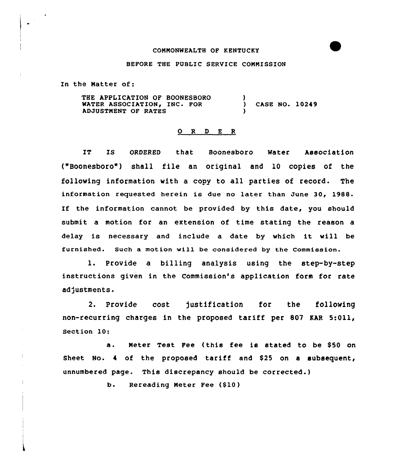## COMNONWEALTH OF KENTUCKY

## BEFORE THE PUBLIC SERVICE COHNISSION

In the Hatter of:

 $\bullet$ 

THE APPLICATION OF BOONESBORO WATER ASSOCIATION, INC. FOR ADJUSTNENT OF RATES  $\lambda$ ) CASE NO. 10249 )

## 0 <sup>R</sup> <sup>D</sup> <sup>E</sup> <sup>R</sup>

IT IS ORDERED that Boonesboro Water Association ("Boonesboro") shall file an original and 10 copies of the folloving information vith a copy to all parties of record. The information requested herein is due no later than June 30, 1988. If the information cannot be provided by this date, you should submit. a motion for an extension of time stating the reason a delay is necessary and include <sup>a</sup> date by vhich it vill be furnished. Such a motion will be considered by the Commission.

1. Provide <sup>a</sup> billing analysis using the step-by-step instructions given in the Commission's application form for rate adjustments.

2. Provide cost justification for the following non-recurring charges in the proposed tariff per S07 EAR 5:Oll, Section 10:

a. Meter Test Fee (this fee is stated to be \$50 on Sheet No. 4 of the proposed tariff and \$25 on a subsequent, unnumbered page. This discrepancy should be corrected.)

b. Rereading Heter Fee (\$10 )